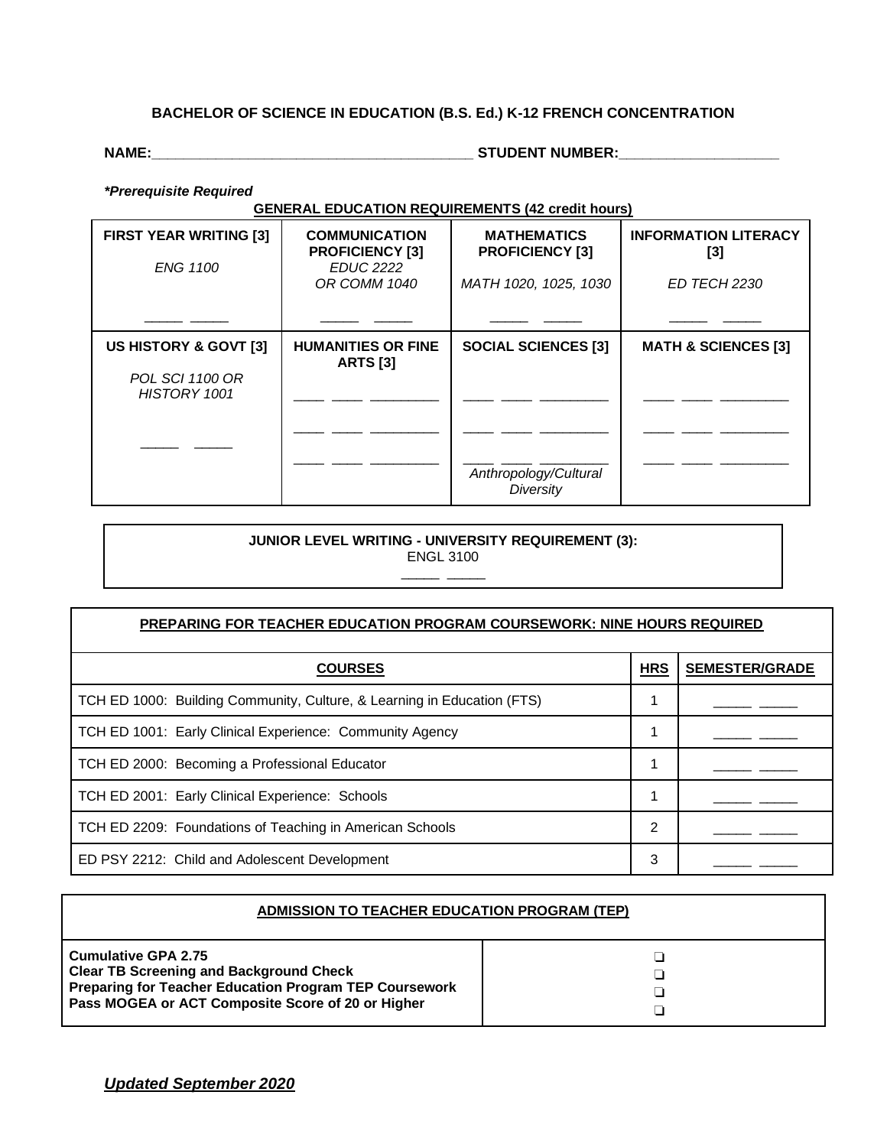## **BACHELOR OF SCIENCE IN EDUCATION (B.S. Ed.) K-12 FRENCH CONCENTRATION**

**NAME:\_\_\_\_\_\_\_\_\_\_\_\_\_\_\_\_\_\_\_\_\_\_\_\_\_\_\_\_\_\_\_\_\_\_\_\_\_\_\_\_ STUDENT NUMBER:\_\_\_\_\_\_\_\_\_\_\_\_\_\_\_\_\_\_\_\_**

*\*Prerequisite Required*

**GENERAL EDUCATION REQUIREMENTS (42 credit hours)**

| <b>FIRST YEAR WRITING [3]</b><br><b>ENG 1100</b> | <b>COMMUNICATION</b><br><b>PROFICIENCY [3]</b><br><b>EDUC 2222</b><br>OR COMM 1040 | <b>MATHEMATICS</b><br><b>PROFICIENCY [3]</b><br>MATH 1020, 1025, 1030 | <b>INFORMATION LITERACY</b><br>$[3]$<br>ED TECH 2230 |
|--------------------------------------------------|------------------------------------------------------------------------------------|-----------------------------------------------------------------------|------------------------------------------------------|
|                                                  |                                                                                    |                                                                       |                                                      |
| US HISTORY & GOVT [3]                            | <b>HUMANITIES OR FINE</b><br><b>ARTS [3]</b>                                       | <b>SOCIAL SCIENCES [3]</b>                                            | <b>MATH &amp; SCIENCES [3]</b>                       |
| <b>POL SCI 1100 OR</b><br>HISTORY 1001           |                                                                                    |                                                                       |                                                      |
|                                                  |                                                                                    |                                                                       |                                                      |
|                                                  |                                                                                    | Anthropology/Cultural<br>Diversity                                    |                                                      |

## **JUNIOR LEVEL WRITING - UNIVERSITY REQUIREMENT (3):**

ENGL 3100  $\overline{\phantom{a}}$ 

| <b>PREPARING FOR TEACHER EDUCATION PROGRAM COURSEWORK: NINE HOURS REQUIRED</b> |            |                       |
|--------------------------------------------------------------------------------|------------|-----------------------|
| <b>COURSES</b>                                                                 | <b>HRS</b> | <b>SEMESTER/GRADE</b> |
| TCH ED 1000: Building Community, Culture, & Learning in Education (FTS)        |            |                       |
| TCH ED 1001: Early Clinical Experience: Community Agency                       |            |                       |
| TCH ED 2000: Becoming a Professional Educator                                  |            |                       |
| TCH ED 2001: Early Clinical Experience: Schools                                |            |                       |
| TCH ED 2209: Foundations of Teaching in American Schools                       | 2          |                       |
| ED PSY 2212: Child and Adolescent Development                                  | 3          |                       |

| <b>ADMISSION TO TEACHER EDUCATION PROGRAM (TEP)</b>                                                                                                                                                |  |  |  |
|----------------------------------------------------------------------------------------------------------------------------------------------------------------------------------------------------|--|--|--|
| <b>Cumulative GPA 2.75</b><br><b>Clear TB Screening and Background Check</b><br><b>Preparing for Teacher Education Program TEP Coursework</b><br>Pass MOGEA or ACT Composite Score of 20 or Higher |  |  |  |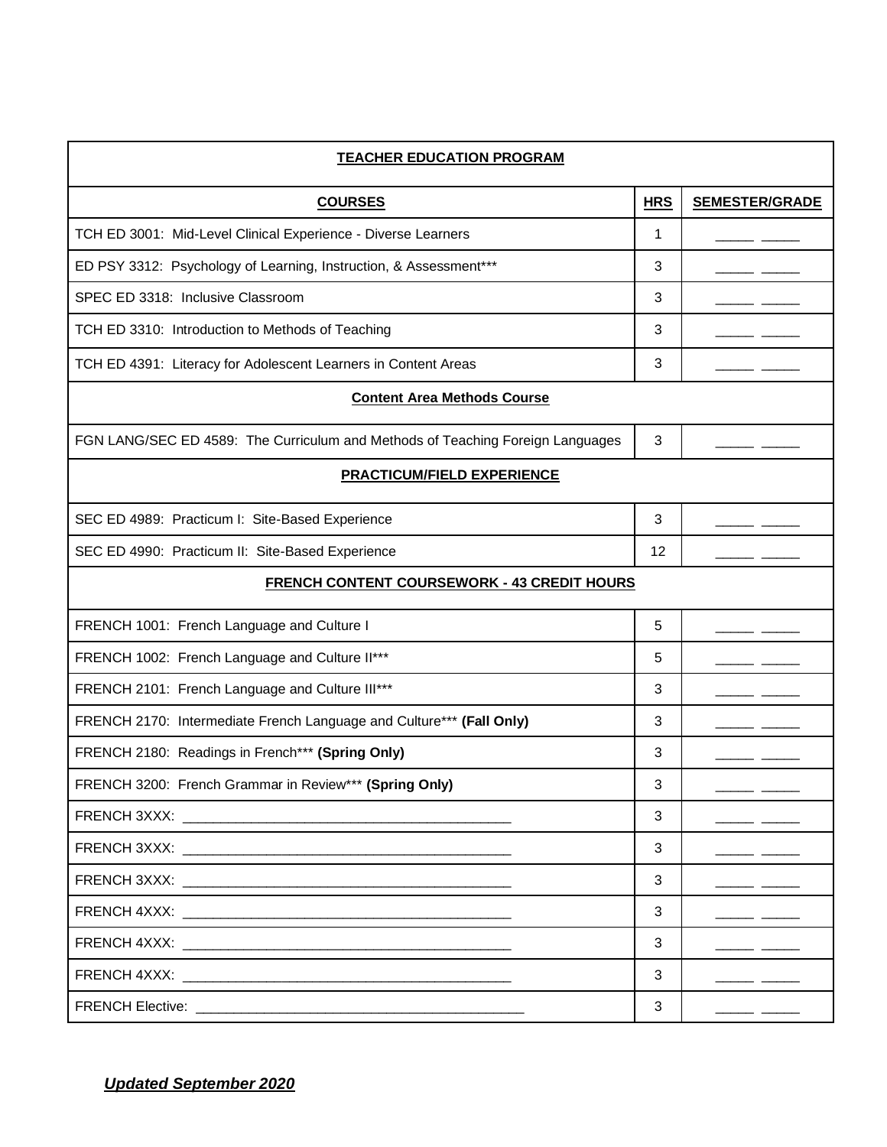| <b>TEACHER EDUCATION PROGRAM</b>                                                                                                                                                                                               |            |                       |  |
|--------------------------------------------------------------------------------------------------------------------------------------------------------------------------------------------------------------------------------|------------|-----------------------|--|
| <b>COURSES</b>                                                                                                                                                                                                                 | <b>HRS</b> | <b>SEMESTER/GRADE</b> |  |
| TCH ED 3001: Mid-Level Clinical Experience - Diverse Learners                                                                                                                                                                  | 1          |                       |  |
| ED PSY 3312: Psychology of Learning, Instruction, & Assessment***                                                                                                                                                              | 3          |                       |  |
| SPEC ED 3318: Inclusive Classroom                                                                                                                                                                                              | 3          |                       |  |
| TCH ED 3310: Introduction to Methods of Teaching                                                                                                                                                                               | 3          |                       |  |
| TCH ED 4391: Literacy for Adolescent Learners in Content Areas                                                                                                                                                                 | 3          |                       |  |
| <b>Content Area Methods Course</b>                                                                                                                                                                                             |            |                       |  |
| FGN LANG/SEC ED 4589: The Curriculum and Methods of Teaching Foreign Languages                                                                                                                                                 | 3          |                       |  |
| <b>PRACTICUM/FIELD EXPERIENCE</b>                                                                                                                                                                                              |            |                       |  |
| SEC ED 4989: Practicum I: Site-Based Experience                                                                                                                                                                                | 3          |                       |  |
| SEC ED 4990: Practicum II: Site-Based Experience                                                                                                                                                                               | 12         |                       |  |
| <b>FRENCH CONTENT COURSEWORK - 43 CREDIT HOURS</b>                                                                                                                                                                             |            |                       |  |
| FRENCH 1001: French Language and Culture I                                                                                                                                                                                     | 5          |                       |  |
| FRENCH 1002: French Language and Culture II***                                                                                                                                                                                 | 5          |                       |  |
| FRENCH 2101: French Language and Culture III***                                                                                                                                                                                | 3          |                       |  |
| FRENCH 2170: Intermediate French Language and Culture*** (Fall Only)                                                                                                                                                           | 3          |                       |  |
| FRENCH 2180: Readings in French*** (Spring Only)                                                                                                                                                                               | 3          |                       |  |
| FRENCH 3200: French Grammar in Review*** (Spring Only)                                                                                                                                                                         | 3          |                       |  |
|                                                                                                                                                                                                                                | 3          |                       |  |
|                                                                                                                                                                                                                                | 3          |                       |  |
| FRENCH 3XXX: The contract of the contract of the contract of the contract of the contract of the contract of the contract of the contract of the contract of the contract of the contract of the contract of the contract of t | 3          |                       |  |
|                                                                                                                                                                                                                                | 3          |                       |  |
|                                                                                                                                                                                                                                | 3          |                       |  |
| FRENCH 4XXX: The contract of the contract of the contract of the contract of the contract of the contract of the contract of the contract of the contract of the contract of the contract of the contract of the contract of t | 3          |                       |  |
|                                                                                                                                                                                                                                | 3          |                       |  |

*Updated September 2020*